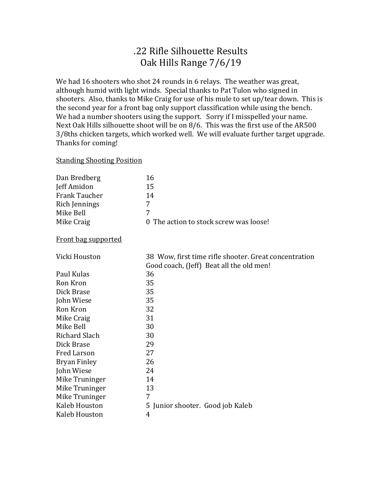## .22 Rifle Silhouette Results Oak Hills Range 7/6/19

We had 16 shooters who shot 24 rounds in 6 relays. The weather was great, although humid with light winds. Special thanks to Pat Tulon who signed in shooters. Also, thanks to Mike Craig for use of his mule to set up/tear down. This is the second year for a front bag only support classification while using the bench. We had a number shooters using the support. Sorry if I misspelled your name. Next Oak Hills silhouette shoot will be on 8/6. This was the first use of the AR500 3/8ths chicken targets, which worked well. We will evaluate further target upgrade. Thanks for coming!

## Standing Shooting Position

| Dan Bredberg               | 16                                                                                                |
|----------------------------|---------------------------------------------------------------------------------------------------|
| Jeff Amidon                | 15                                                                                                |
| <b>Frank Taucher</b>       | 14                                                                                                |
| Rich Jennings              | 7                                                                                                 |
| Mike Bell                  | 7                                                                                                 |
| Mike Craig                 | The action to stock screw was loose!<br>0                                                         |
| <b>Front bag supported</b> |                                                                                                   |
| Vicki Houston              | 38 Wow, first time rifle shooter. Great concentration<br>Good coach, (Jeff) Beat all the old men! |
| Paul Kulas                 | 36                                                                                                |
| Ron Kron                   | 35                                                                                                |
| Dick Brase                 | 35                                                                                                |
| John Wiese                 | 35                                                                                                |
| Ron Kron                   | 32                                                                                                |
| Mike Craig                 | 31                                                                                                |
| Mike Bell                  | 30                                                                                                |
| <b>Richard Slach</b>       | 30                                                                                                |
| Dick Brase                 | 29                                                                                                |
| <b>Fred Larson</b>         | 27                                                                                                |
| <b>Bryan Finley</b>        | 26                                                                                                |
| John Wiese                 | 24                                                                                                |
| Mike Truninger             | 14                                                                                                |
| Mike Truninger             | 13                                                                                                |
| Mike Truninger             | 7                                                                                                 |
| Kaleb Houston              | 5 Junior shooter. Good job Kaleb                                                                  |
| Kaleb Houston              | 4                                                                                                 |